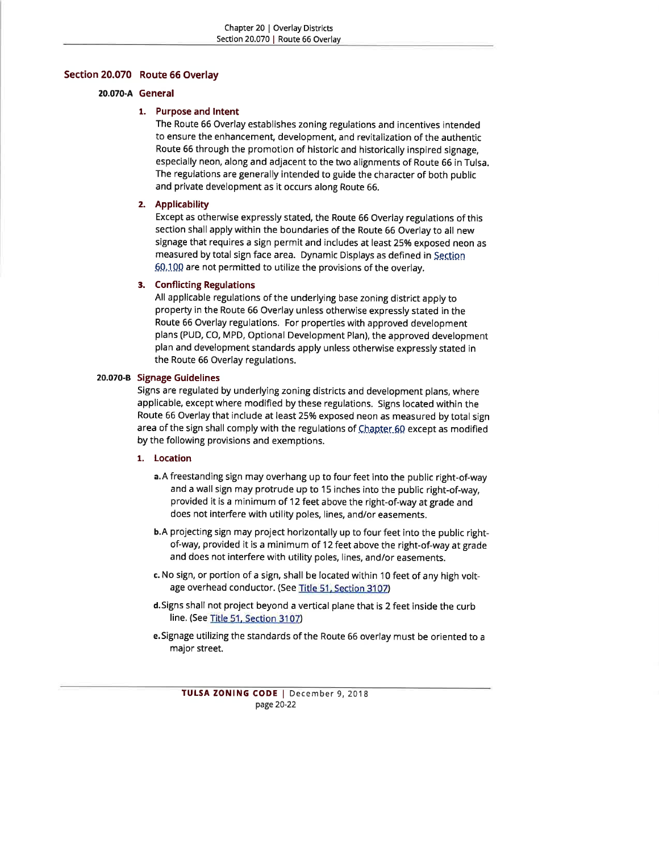## Section 2O.O7O Route 66 Overlay

#### 20.070-A General

# 1. Purpose and lntent

The Route 66 Overlay establishes zoning regulations and incentives intended to ensure the enhancement, development, and revitalization of the authentic Route 66 through the promotion of historic and historically inspired signage, especially neon, along and adjacent to the two alignments of Route 66 in Tulsa. The regulations are generally intended to guide the character of both public and private development as it occurs along Route 66.

#### 2. Applicability

Except as otherwise expressly stated, the Route 66 Overlay regulations of this section shall apply within the boundaries of the Route 66 Overlay to all new signage that requires a sign permit and includes at least 25% exposed neon as measured by total sign face area. Dynamic Displays as defined in Section 60.100 are not permitted to utilize the provisions of the overlay.

## 3. Conflicting Regulations

All applicable regulations of the underlying base zoning district apply to property in the Route 66 Overlay unless otherwise expressly stated in the Route 66 Overlay regulations. For properties with approved development plans (PUD, CO, MPD, Optional Development Plan), the approved development plan and development standards apply unless otherwise expressly stated in the Route 66 Overlay regulations.

#### 20.070-8 Signage Guidelines

Signs are regulated by underlying zoning districts and development plans, where applicable, except where modified by these regulations. Signs located within the Route 66 Overlay that include at least 25% exposed neon as measured by total sign area of the sign shall comply with the regulations of  $Q$ hapter-60 except as modified by the following provisions and exemptions.

# 1. Location

- a.A freestanding sign may overhang up to four feet into the public right-of-way and a wall sign may protrude up to 15 inches into the public right-of-way, provided it is a minimum of 12 feet above the right-of-way at grade and does not interfere with utility poles, lines, and/or easements,
- b.A projecting sign may project horizontally up to four feet into the public rightof-way, provided it is a minimum of 12 feet above the right-of-way at grade and does not interfere with utility poles, lines, and/or easements.
- c. No sign, or portion of a sign, shall be located within 10 feet of any high voltage overhead conductor. (See Title 51. Section 3107)
- d.Signs shall not project beyond a vertical plane that is 2 feet inside the curb line, (See Title 51. Section 3107)
- e.Signage utilizing the standards of the Route 66 overlay must be oriented to <sup>a</sup> major street.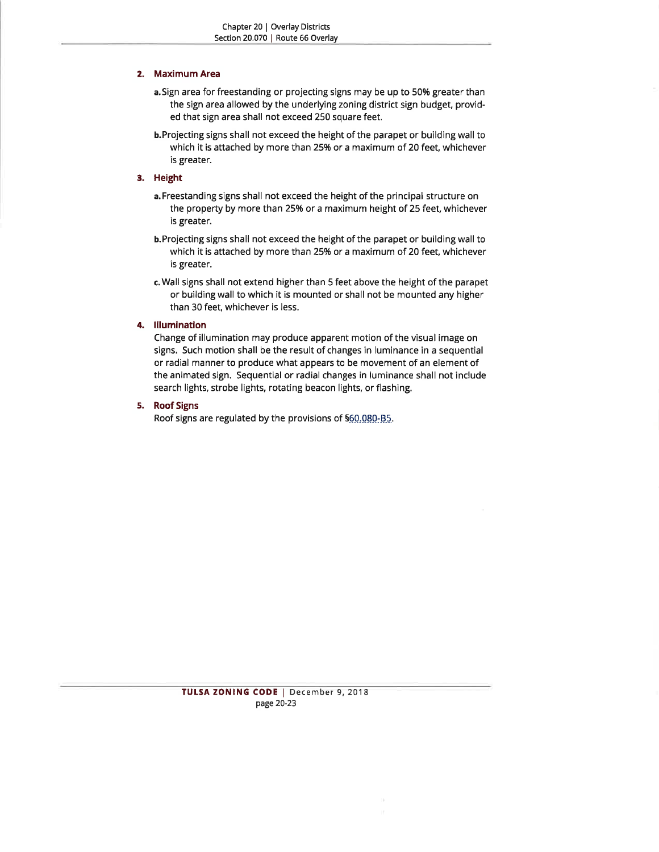# 2. Maximum Area

- a.Sign area for freestanding or projecting signs may be up to 50% greater than the sign area allowed by the underlying zoning district sign budget, provided that sign area shall not exceed 250 square feet.
- b.Projecting signs shall not exceed the height of the parapet or building wall to which it is attached by more than 25% or a maximum of 20 feet, whichever is greater.

# 3. Height

- a. Freestanding signs shall not exceed the height of the principal structure on the property by more than 25% or a maximum height of 25 feet, whichever is greater.
- b.Projecting signs shall not exceed the height of the parapet or building wall to which it is attached by more than 25% or a maximum of 20 feet, whichever is greater.
- c.Wall signs shall not extend higher than 5 feet above the height of the parapet or building wall to which it is mounted or shall not be mounted any higher than 30 feet, whichever is less.

# 4. Illumination

Change of illumination may produce apparent motion of the visual image on signs. Such motion shall be the result of changes in luminance in a sequential or radial manner to produce what appears to be movement of an element of the animated sign. Sequential or radial changes in luminance shall not include search lights, strobe lights, rotating beacon lights, or flashing.

#### 5. Roof Signs

Roof signs are regulated by the provisions of \$60,080-B5.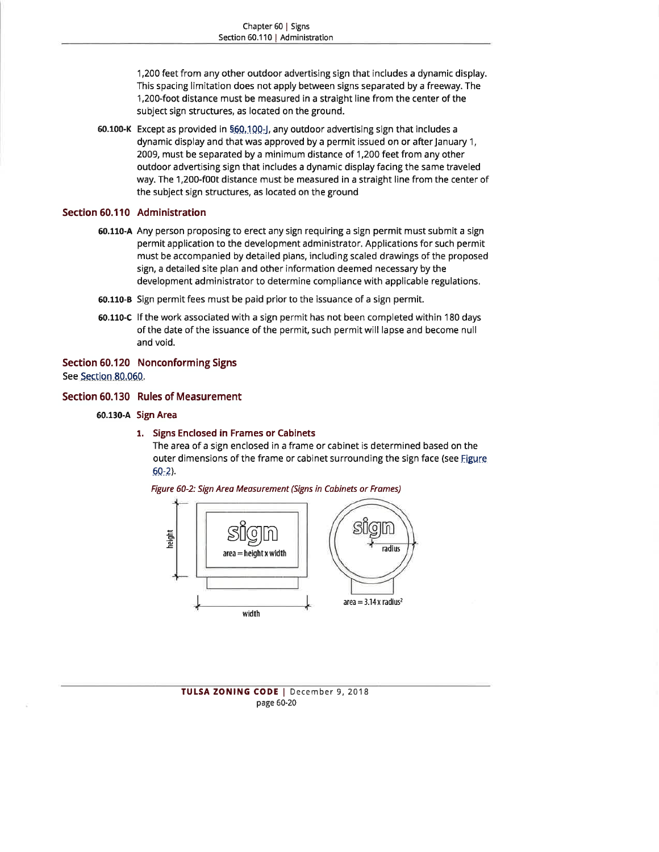1,200 feet from any other outdoor advertising sign that includes a dynamic display. This spacing limitation does not apply between signs separated by a freeway. The 1,200-foot distance must be measured in a straight line from the center of the subject sign structures, as located on the ground.

**60.100-K** Except as provided in §<u>60,100-J,</u> any outdoor advertising sign that includes a dynamic display and that was approved by a permit issued on or after January 1, 2009, must be separated by a minimum distance of 1,2OQ feet from any other outdoor advertising sign that includes a dynamic display facing the same traveled way. The 1,200-f00t distance must be measured in a straight line from the center of the subject sign structures, as located on the ground

# Section 60.110 Administration

- 60.110-A Any person proposing to erect any sign requiring a sign permit must submit a sign permit application to the development administrator. Applications for such permit must be accompanied by detailed plans, including scaled drawings of the proposed sign, a detailed site plan and other information deemed necessary by the development administrator to determine compliance with applicable regulations.
- 60.110-B Sign permit fees must be paid prior to the issuance of a sign permit.
- 60.110-C lf the work associated with a sign permit has not been completed within 180 days of the date of the issuance of the permit, such permitwill lapse and become null and void.

#### Section 60.120 Nonconforming Signs

See Section 80.060.

# Section 60.130 Rules of Measurement

- 60.130-A Sign Area
	- 1. Signs Enclosed in Frames or Cabinets

The area of a sign enclosed in a frame or cabinet is determined based on the outer dimensions of the frame or cabinet surrounding the sign face (see Figure  $60-2$ ).

Figure 60-2: Sign Areo Meosurement (Signs in Cobinets or Frames)



TULSA ZONING CODE | December 9, 2018 page 60-20